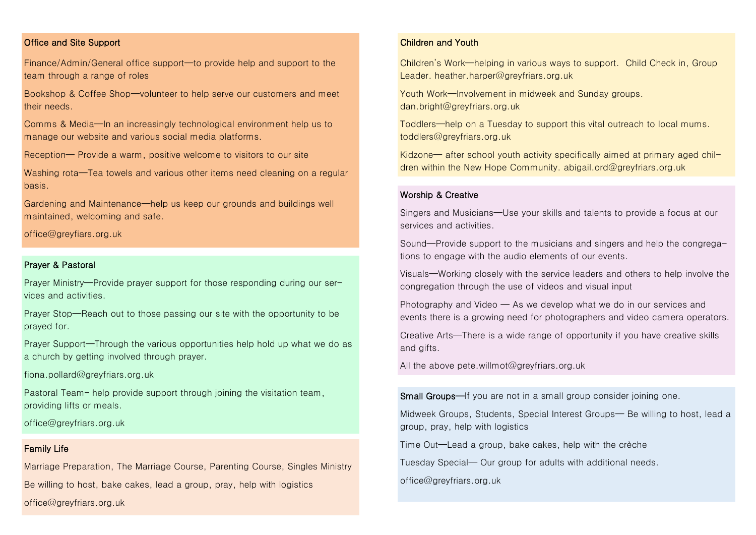# Office and Site Support

Finance/Admin/General office support—to provide help and support to the team through a range of roles

Bookshop & Coffee Shop—volunteer to help serve our customers and meet their needs.

Comms & Media—In an increasingly technological environment help us to manage our website and various social media platforms.

Reception— Provide a warm, positive welcome to visitors to our site

Washing rota—Tea towels and various other items need cleaning on a regular basis.

Gardening and Maintenance—help us keep our grounds and buildings well maintained, welcoming and safe.

office@greyfiars.org.uk

### Prayer & Pastoral

Prayer Ministry—Provide prayer support for those responding during our services and activities.

Prayer Stop—Reach out to those passing our site with the opportunity to be prayed for.

Prayer Support—Through the various opportunities help hold up what we do as a church by getting involved through prayer.

fiona.pollard@greyfriars.org.uk

Pastoral Team– help provide support through joining the visitation team, providing lifts or meals.

office@greyfriars.org.uk

# Family Life

Marriage Preparation, The Marriage Course, Parenting Course, Singles Ministry Be willing to host, bake cakes, lead a group, pray, help with logistics office@greyfriars.org.uk

# Children and Youth

Children's Work—helping in various ways to support. Child Check in, Group Leader. heather.harper@greyfriars.org.uk

Youth Work—Involvement in midweek and Sunday groups. dan.bright@greyfriars.org.uk

Toddlers—help on a Tuesday to support this vital outreach to local mums. toddlers@greyfriars.org.uk

Kidzone— after school youth activity specifically aimed at primary aged children within the New Hope Community. abigail.ord@greyfriars.org.uk

#### Worship & Creative

Singers and Musicians—Use your skills and talents to provide a focus at our services and activities.

Sound—Provide support to the musicians and singers and help the congregations to engage with the audio elements of our events.

Visuals—Working closely with the service leaders and others to help involve the congregation through the use of videos and visual input

Photography and Video — As we develop what we do in our services and events there is a growing need for photographers and video camera operators.

Creative Arts—There is a wide range of opportunity if you have creative skills and gifts.

All the above pete.willmot@greyfriars.org.uk

Small Groups—If you are not in a small group consider joining one.

Midweek Groups, Students, Special Interest Groups— Be willing to host, lead a group, pray, help with logistics

Time Out—Lead a group, bake cakes, help with the crèche

Tuesday Special— Our group for adults with additional needs.

office@greyfriars.org.uk